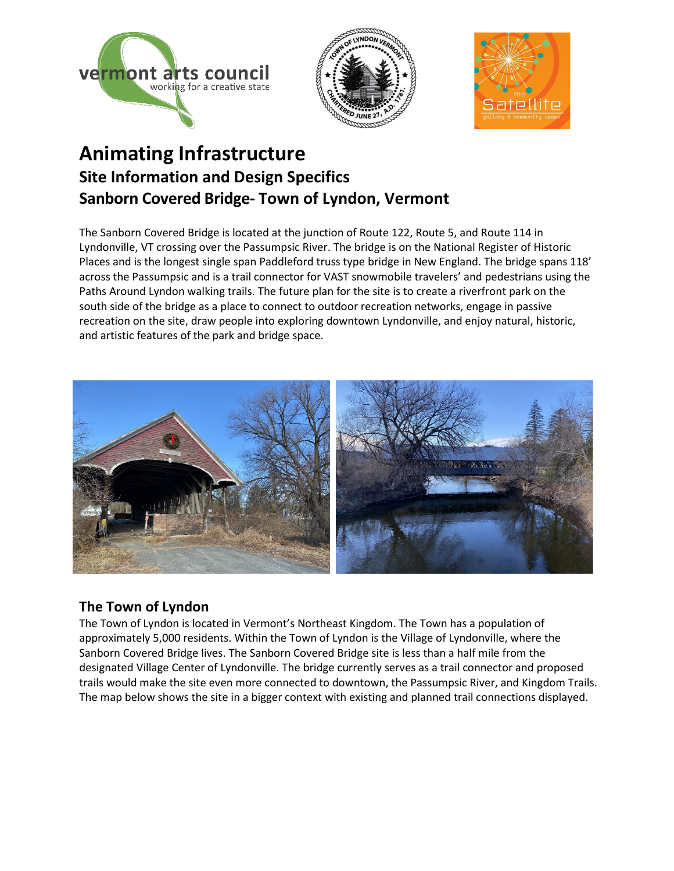





# **Animating Infrastructure Site Information and Design Specifics Sanborn Covered Bridge- Town of Lyndon, Vermont**

The Sanborn Covered Bridge is located at the junction of Route 122, Route 5, and Route 114 in Lyndonville, VT crossing over the Passumpsic River. The bridge is on the National Register of Historic Places and is the longest single span Paddleford truss type bridge in New England. The bridge spans 118' across the Passumpsic and is a trail connector for VAST snowmobile travelers' and pedestrians using the Paths Around Lyndon walking trails. The future plan for the site is to create a riverfront park on the south side of the bridge as a place to connect to outdoor recreation networks, engage in passive recreation on the site, draw people into exploring downtown Lyndonville, and enjoy natural, historic, and artistic features of the park and bridge space.



### **The Town of Lyndon**

The Town of Lyndon is located in Vermont's Northeast Kingdom. The Town has a population of approximately 5,000 residents. Within the Town of Lyndon is the Village of Lyndonville, where the Sanborn Covered Bridge lives. The Sanborn Covered Bridge site is less than a half mile from the designated Village Center of Lyndonville. The bridge currently serves as a trail connector and proposed trails would make the site even more connected to downtown, the Passumpsic River, and Kingdom Trails. The map below shows the site in a bigger context with existing and planned trail connections displayed.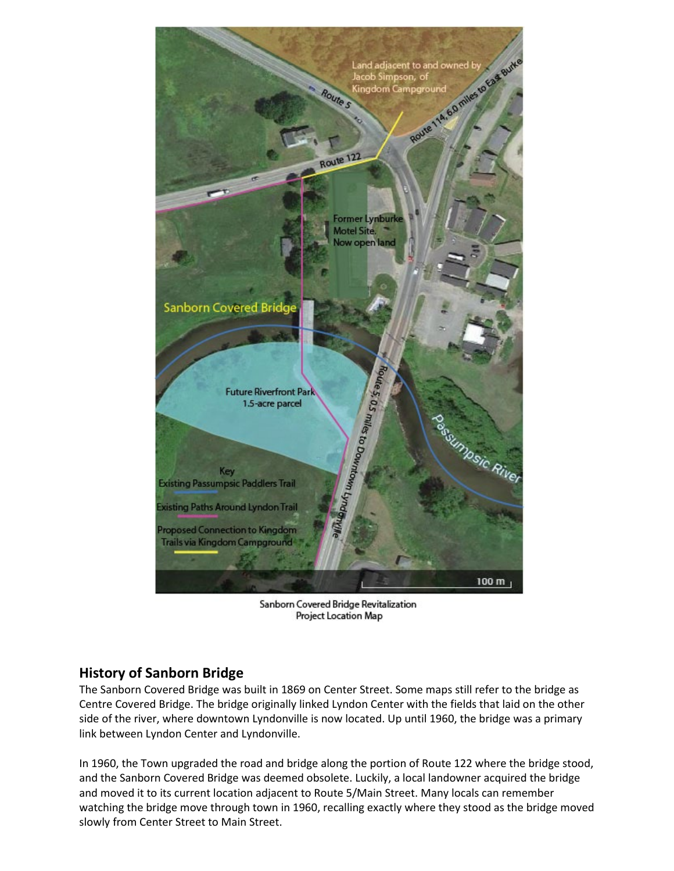

Sanborn Covered Bridge Revitalization Project Location Map

#### **History of Sanborn Bridge**

The Sanborn Covered Bridge was built in 1869 on Center Street. Some maps still refer to the bridge as Centre Covered Bridge. The bridge originally linked Lyndon Center with the fields that laid on the other side of the river, where downtown Lyndonville is now located. Up until 1960, the bridge was a primary link between Lyndon Center and Lyndonville.

In 1960, the Town upgraded the road and bridge along the portion of Route 122 where the bridge stood, and the Sanborn Covered Bridge was deemed obsolete. Luckily, a local landowner acquired the bridge and moved it to its current location adjacent to Route 5/Main Street. Many locals can remember watching the bridge move through town in 1960, recalling exactly where they stood as the bridge moved slowly from Center Street to Main Street.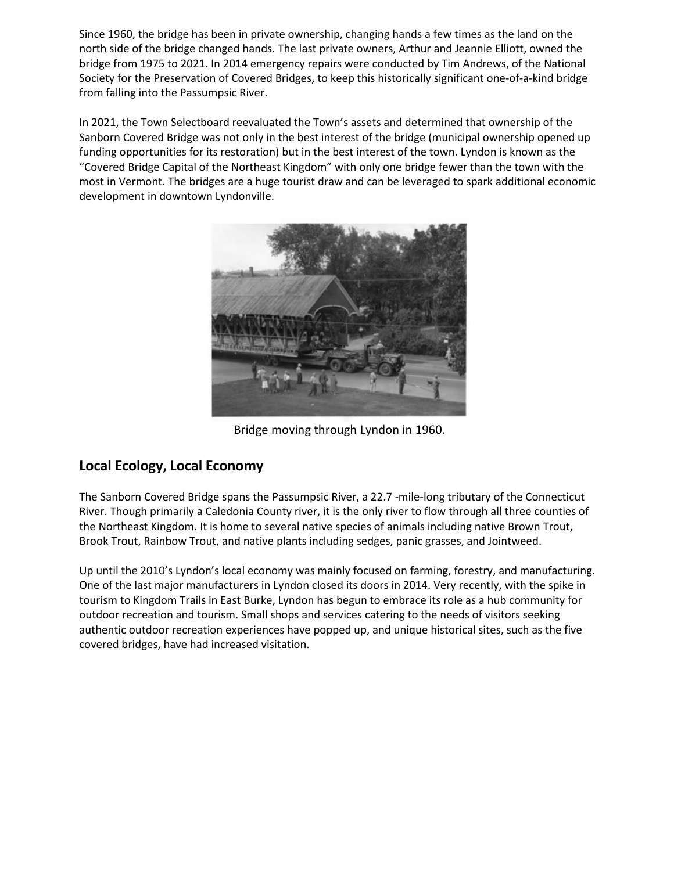Since 1960, the bridge has been in private ownership, changing hands a few times as the land on the north side of the bridge changed hands. The last private owners, Arthur and Jeannie Elliott, owned the bridge from 1975 to 2021. In 2014 emergency repairs were conducted by Tim Andrews, of the National Society for the Preservation of Covered Bridges, to keep this historically significant one-of-a-kind bridge from falling into the Passumpsic River.

In 2021, the Town Selectboard reevaluated the Town's assets and determined that ownership of the Sanborn Covered Bridge was not only in the best interest of the bridge (municipal ownership opened up funding opportunities for its restoration) but in the best interest of the town. Lyndon is known as the "Covered Bridge Capital of the Northeast Kingdom" with only one bridge fewer than the town with the most in Vermont. The bridges are a huge tourist draw and can be leveraged to spark additional economic development in downtown Lyndonville.



Bridge moving through Lyndon in 1960.

### **Local Ecology, Local Economy**

The Sanborn Covered Bridge spans the Passumpsic River, a 22.7 -mile-long tributary of the Connecticut River. Though primarily a Caledonia County river, it is the only river to flow through all three counties of the Northeast Kingdom. It is home to several native species of animals including native Brown Trout, Brook Trout, Rainbow Trout, and native plants including sedges, panic grasses, and Jointweed.

Up until the 2010's Lyndon's local economy was mainly focused on farming, forestry, and manufacturing. One of the last major manufacturers in Lyndon closed its doors in 2014. Very recently, with the spike in tourism to Kingdom Trails in East Burke, Lyndon has begun to embrace its role as a hub community for outdoor recreation and tourism. Small shops and services catering to the needs of visitors seeking authentic outdoor recreation experiences have popped up, and unique historical sites, such as the five covered bridges, have had increased visitation.